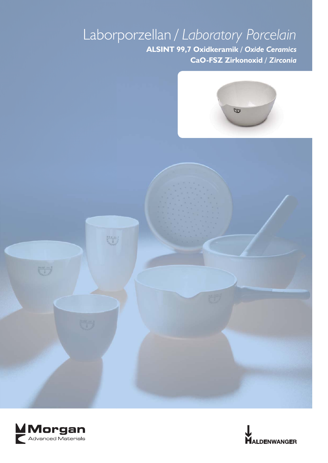## Laborporzellan */ Laboratory Porcelain* **ALSINT 99,7 Oxidkeramik** */ Oxide Ceramics* **CaO-FSZ Zirkonoxid** */ Zirconia*





四日一

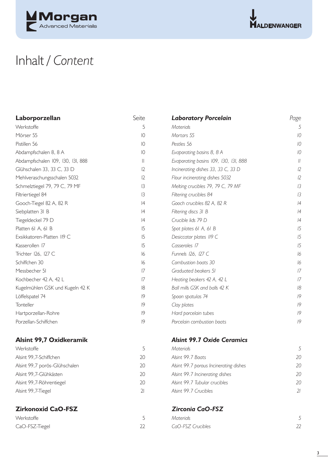



## Inhalt */ Content*

| Laborporzellan                    | Seite           | <b>Laboratory Porcelain</b>           | Page          |
|-----------------------------------|-----------------|---------------------------------------|---------------|
| Werkstoffe                        | 5               | <b>Materials</b>                      | 5             |
| Mörser 55                         | $\overline{10}$ | Mortars 55                            | 10            |
| Pistillen 56                      | $\overline{10}$ | Pestles 56                            | 10            |
| Abdampfschalen 8, 8 A             | $\overline{10}$ | Evaporating basins 8, 8 A             | 10            |
| Abdampfschalen 109, 130, 131, 888 | $\mathbf{  }$   | Evaporating basins 109, 130, 131, 888 | $\frac{1}{2}$ |
| Glühschalen 33, 33 C, 33 D        | 12              | Incinerating dishes 33, 33 C, 33 D    | 12            |
| Mehlveraschungsschalen 5032       | 12              | Flour incinerating dishes 5032        | 12            |
| Schmelztiegel 79, 79 C, 79 MF     | 3               | Melting crucibles 79, 79 C, 79 MF     | 13            |
| Filtriertiegel 84                 | 3               | Filtering crucibles 84                | 13            |
| Gooch-Tiegel 82 A, 82 R           | 4               | Gooch crucibles 82 A, 82 R            | 4             |
| Siebplatten 31 B                  | 4               | Filtering discs 31 B                  | 4             |
| Tiegeldeckel 79 D                 | 4               | Crucible lids 79 D                    | 4             |
| Platten 6I A, 6I B                | 15              | Spot plates 61 A, 61 B                | 15            |
| Exsikkatoren-Platten II9 C        | 15              | Desiccator plates II9 C               | 15            |
| Kasserollen 17                    | 15              | Casseroles 17                         | 15            |
| Trichter I26, I27 C               | 16              | Funnels 126, 127 C                    | 16            |
| Schiffchen 30                     | 16              | Combustion boats 30                   | 16            |
| Messbecher 51                     | 7               | Graduated beakers 51                  | 17            |
| Kochbecher 42 A, 42 L             | 7               | Heating beakers 42 A, 42 L            | 17            |
| Kugelmühlen GSK und Kugeln 42 K   | 8               | Ball mills GSK and balls 42 K         | 18            |
| Löffelspatel 74                   | 9               | Spoon spatulas 74                     | 9             |
| Tonteller                         | 9               | Clay plates                           | 9             |
| Hartporzellan-Rohre               | 9               | Hard porcelain tubes                  | 9             |
| Porzellan-Schiffchen              | 9               | Porcelain combustion boats            | 9             |
|                                   |                 |                                       |               |

## **Alsint 99,7 Oxidkeramik** *Alsint 99,7 Oxidkeramik*

| Werkstoffe                    |    | Materiak                               |                          |
|-------------------------------|----|----------------------------------------|--------------------------|
| Alsint 99,7-Schiffchen        | 20 | Alsint 99.7 Boats                      | 20                       |
| Alsint 99,7 porös-Glühschalen | 20 | Alsint 99.7 porous Incinerating dishes | 20                       |
| Alsint 99,7-Glühkästen        | 20 | Alsint 99.7 Incinerating dishes        | 20                       |
| Alsint 99,7-Röhrentiegel      | 20 | Alsint 99.7 Tubular crucibles          | 20                       |
| Alsint 99, 7-Tiegel           |    | Alsint 99.7 Crucibles                  | $\overline{\mathcal{U}}$ |
|                               |    |                                        |                          |

## **Zirkonoxid CaO-FSZ** *Zirconia CaO-FSZ*

| Werkstoffe     |  |
|----------------|--|
| CaO-FSZ-Tiegel |  |

| т топпустазанын қзэспаюттысы 2  | ⊢  | Thur included in the district of the   | ı∠             |
|---------------------------------|----|----------------------------------------|----------------|
| Schmelztiegel 79, 79 C, 79 MF   | 3  | Melting crucibles 79, 79 C, 79 MF      | 13             |
| Filtriertiegel 84               | 3  | Filtering crucibles 84                 | 13             |
| Gooch-Tiegel 82 A, 82 R         | 4  | Gooch crucibles 82 A, 82 R             | 4              |
| Siebplatten 31 B                | 4  | Filtering discs 31 B                   | 4              |
| Tiegeldeckel 79 D               | 4  | Crucible lids 79 D                     | 4              |
| Platten 61 A, 61 B              | 15 | Spot plates 61 A, 61 B                 | 15             |
| Exsikkatoren-Platten II9 C      | 15 | Desiccator plates II9 C                | 15             |
| Kasserollen 17                  | 15 | Casseroles 17                          | 15             |
| Trichter 126, 127 C             | 6  | Funnels 126, 127 C                     | 16             |
| Schiffchen 30                   | 16 | Combustion boats 30                    | 16             |
| Messbecher 51                   | 7  | Graduated beakers 51                   | 17             |
| Kochbecher 42 A, 42 L           | 7  | Heating beakers 42 A, 42 L             | 17             |
| Kugelmühlen GSK und Kugeln 42 K | 18 | Ball mills GSK and balls 42 K          | 18             |
| Löffelspatel 74                 | 9  | Spoon spatulas 74                      | 19             |
| <b>Tonteller</b>                | 9  | Clay plates                            | 19             |
| Hartporzellan-Rohre             | 9  | Hard porcelain tubes                   | 19             |
| Porzellan-Schiffchen            | 9  | Porcelain combustion boats             | 19             |
| Alsint 99,7 Oxidkeramik         |    | <b>Alsint 99.7 Oxide Ceramics</b>      |                |
| Werkstoffe                      | 5  | Materials                              | 5              |
| Alsint 99,7-Schiffchen          | 20 | Alsint 99.7 Boats                      | 2 <sub>C</sub> |
| Alsint 99,7 porös-Glühschalen   | 20 | Alsint 99.7 porous Incinerating dishes | 20             |
| Alsint 99,7-Glühkästen          | 20 | Alsint 99.7 Incinerating dishes        | 2 <sub>C</sub> |
| Alsint 99,7-Röhrentiegel        | 20 | Alsint 99.7 Tubular crucibles          | 2 <sub>C</sub> |
| Alsint 99,7-Tiegel              | 21 | Alsint 99.7 Crucibles                  | 21             |
|                                 |    |                                        |                |

| Werkstoffe     | Materials         |    |
|----------------|-------------------|----|
| CaO-FSZ-Tiegel | CaO-FSZ Crucibles | 22 |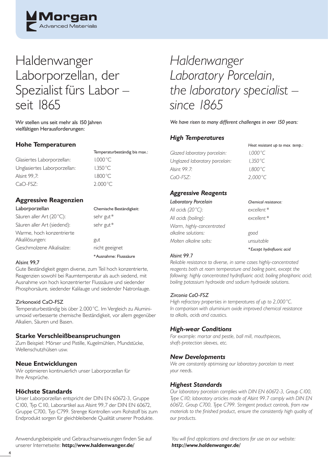

## Haldenwanger Laborporzellan, der Spezialist fürs Labor – seit 1865

Wir stellen uns seit mehr als 150 Jahren vielfältigen Herausforderungen:

## **Hohe Temperaturen**

Glasiertes Laborporzellan: Unglasiertes Laborporzellan: Alsint 99.7:  $CaO-FSZ$ :

| Temperaturbeständig bis max.: |
|-------------------------------|
| $1.000^{\circ}$ C             |
| 1.350 °C                      |
| 1.800 °C                      |
| 2.000 °C.                     |

\* Ausnahme: Flusssäure

## **Aggressive Reagenzien**

| Chemische Beständigkeit: |
|--------------------------|
| sehr gut*                |
| sehr gut*                |
|                          |
| gut                      |
| nicht geeignet           |
|                          |

#### Alsint 99,7

Gute Beständigkeit gegen diverse, zum Teil hoch konzentrierte, Reagenzien sowohl bei Raumtemperatur als auch siedend, mit Ausnahme von hoch konzentrierter Flusssäure und siedender Phosphorsäure, siedender Kalilauge und siedender Natronlauge.

#### Zirkonoxid CaO-FSZ

Temperaturbeständig bis über 2.000 °C. Im Vergleich zu Aluminiumoxid verbesserte chemische Beständigkeit, vor allem gegenüber Alkalien, Säuren und Basen.

## **Starke Verschleißbeanspruchungen**

Zum Beispiel: Mörser und Pistille, Kugelmühlen, Mundstücke, Wellenschutzhülsen usw.

## **Neue Entwicklungen**

Wir optimieren kontinuierlich unser Laborporzellan für Ihre Ansprüche.

## **Höchste Standards**

Unser Laborporzellan entspricht der DIN EN 60672-3, Gruppe C100, Typ C110, Laborartikel aus Alsint 99,7 der DIN EN 60672, Gruppe C700, Typ C799. Strenge Kontrollen vom Rohstoff bis zum Endprodukt sorgen für gleichbleibende Qualität unserer Produkte.

Anwendungsbeispiele und Gebrauchsanweisungen finden Sie auf unserer Internetseite: **http://www.haldenwanger.de/**

## *Haldenwanger Laboratory Porcelain, the laboratory specialist – since 1865*

*We have risen to many different challenges in over 150 years:*

## *High Temperatures*

*Glazed laboratory porcelain: 1,000 °C Unglazed laboratory porcelain: 1,350 °C Alsint 99.7: 1,800 °C CaO-FSZ: 2,000 °C* 

*Heat resistant up to max. temp.:*

## *Aggressive Reagents*

| Laboratory Porcelain      | Chemical resistance:      |
|---------------------------|---------------------------|
| All acids (20°C):         | excellent*                |
| All acids (boiling):      | excellent *               |
| Warm, highly-concentrated |                           |
| alkaline solutions:       | good                      |
| Molten alkaline salts:    | unsuitable                |
|                           | *Except hydrofluoric acid |

#### *Alsint 99.7*

*Reliable resistance to diverse, in some cases highly-concentrated*  reagents both at room temperature and boiling point, except the following: highly concentrated hydrofluoric acid; boiling phosphoric acid; *boiling potassium hydroxide and sodium hydroxide solutions.*

#### *Zirconia CaO-FSZ*

*High refractory properties in temperatures of up to 2,000 °C. In comparison with aluminium oxide improved chemical resistance to alkalis, acids and caustics.*

## *High-wear Conditions*

*For example: mortar and pestle, ball mill, mouthpieces, shaft-protection sleeves, etc.*

### *New Developments*

*We are constantly optimising our laboratory porcelain to meet your needs.*

### *Highest Standards*

*Our laboratory porcelain complies with DIN EN 60672-3, Group C100, Type C110; laboratory articles made of Alsint 99.7 comply with DIN EN 60672, Group C700, Type C799. Stringent product controls, from raw*  materials to the finished product, ensure the consistently high quality of *our products.*

You will find applications and directions for use on our website: *http://www.haldenwanger.de/*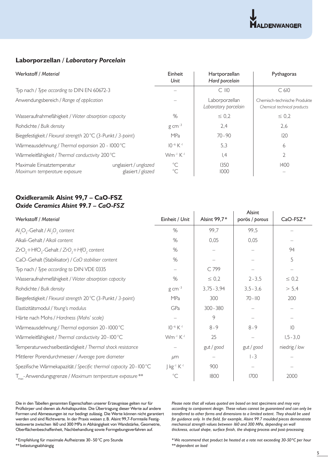

## **Laborporzellan /** *Laboratory Porcelain*

| Werkstoff / Material                                          |                                            | Einheit<br>Unit                  | Hartporzellan<br>Hard porcelain        | Pythagoras                                                  |
|---------------------------------------------------------------|--------------------------------------------|----------------------------------|----------------------------------------|-------------------------------------------------------------|
| Typ nach / Type according to DIN EN 60672-3                   |                                            |                                  | $C$ $110$                              | C <sub>610</sub>                                            |
| Anwendungsbereich / Range of application                      |                                            |                                  | Laborporzellan<br>Laboratory porcelain | Chemisch-technische Produkte<br>Chemical technical products |
| Wasseraufnahmefähigkeit / Water absorption capacity           |                                            | %                                | $\leq 0.2$                             | $\leq 0.2$                                                  |
| Rohdichte / Bulk density                                      |                                            | $g$ cm $^{-3}$                   | 2,4                                    | 2,6                                                         |
| Biegefestigkeit / Flexural strength 20 °C (3-Punkt / 3-point) |                                            | <b>MPa</b>                       | $70 - 90$                              | 120                                                         |
| Wärmeausdehnung / Thermal expansion 20 - I000°C               |                                            | $10^{-6}$ K <sup>-1</sup>        | 5,3                                    | 6                                                           |
| Wärmeleitfähigkeit / Thermal conductivity 200°C               |                                            | Wm <sup>-1</sup> K <sup>-1</sup> | ,4                                     | $\overline{2}$                                              |
| Maximale Einsatztemperatur<br>Maximum temperature exposure    | unglasiert / unglazed<br>glasiert / glazed | $^{\circ}C$<br>$^{\circ}C$       | 1350<br>1000                           | 1400                                                        |

## **Oxidkeramik Alsint 99,7 – CaO-FSZ** *Oxide Ceramics Alsint 99.7 – CaO-FSZ*

| Werkstoff / Material                                                  | Einheit / Unit                     | Alsint 99,7*  | Alsint<br>porös / porous | CaO-FSZ*      |
|-----------------------------------------------------------------------|------------------------------------|---------------|--------------------------|---------------|
| $\text{Al}_2\text{O}_3$ -Gehalt / $\text{Al}_2\text{O}_3$ content     | %                                  | 99,7          | 99,5                     |               |
| Alkali-Gehalt / Alkali content                                        | %                                  | 0,05          | 0,05                     |               |
|                                                                       | $\%$                               |               |                          | 94            |
| $ZrO_1$ +HfO <sub>2</sub> -Gehalt / $ZrO_1$ +HfO <sub>2</sub> content |                                    |               |                          |               |
| CaO-Gehalt (Stabilisator) / CaO stabiliser content                    | %                                  |               |                          | 5             |
| Typ nach / Type according to DIN VDE 0335                             |                                    | C 799         |                          |               |
| Wasseraufnahmefähigkeit / Water absorption capacity                   | $\%$                               | $\leq 0.2$    | $2 - 3,5$                | $\leq 0,2$    |
| Rohdichte / Bulk density                                              | $g$ cm <sup>-3</sup>               | $3,75 - 3,94$ | $3,5 - 3,6$              | > 5,4         |
| Biegefestigkeit / Flexural strength 20°C (3-Punkt / 3-point)          | MPa                                | 300           | $70 - 110$               | 200           |
| Elastizitätsmodul / Young's modulus                                   | GPa                                | $300 - 380$   |                          |               |
| Härte nach Mohs / Hardness (Mohs' scale)                              |                                    | 9             |                          |               |
| Wärmeausdehnung / Thermal expansion 20 - I000°C                       | $10^{-6}$ K <sup>-1</sup>          | $8 - 9$       | $8 - 9$                  | 10            |
| Wärmeleitfähigkeit / Thermal conductivity 20 - I00 °C                 | Wm <sup>-1</sup> K <sup>-1</sup>   | 25            |                          | $1, 5 - 3, 0$ |
| Temperaturwechselbeständigkeit / Thermal shock resistance             |                                    | gut / good    | gut / good               | niedrig / low |
| Mittlerer Porendurchmesser / Average pore diameter                    | µm                                 |               | $I - 3$                  |               |
| Spezifische Wärmekapazität / Specific thermal capacity 20 - I00°C     | J kg <sup>-i</sup> K <sup>-i</sup> | 900           |                          |               |
| T <sub>max</sub> -Anwendungsgrenze / Maximum temperature exposure **  | $^{\circ}C$                        | 1800          | 1700                     | 2000          |

Die in den Tabellen genannten Eigenschaften unserer Erzeugnisse gelten nur für Prüfkörper und dienen als Anhaltspunkte. Die Übertragung dieser Werte auf andere Formen und Abmessungen ist nur bedingt zulässig. Die Werte können nicht garantiert werden und sind Richtwerte. In der Praxis weisen z. B. Alsint 99,7-Formteile Festigkeitswerte zwischen 160 und 300 MPa in Abhängigkeit von Wandstärke, Geometrie, Oberflächenbeschaffenheit, Nachbehandlung sowie Formgebungsverfahren auf.

*Please note that all values quoted are based on test specimens and may vary according to component design. These values cannot be guaranteed and can only be transferred to other forms and dimensions to a limited extent. They should be used*  for guidance only. In the field, for example, Alsint 99.7 moulded pieces demonstrate *mechanical strength values between 160 and 300 MPa, depending on wall*  thickness, actual shape, surface finish, the shaping process and post-processing.

\* Empfehlung für maximale Aufheizrate 30 - 50 °C pro Stunde

\*\* belastungsabhängig

*\* We recommend that product be heated at a rate not exceeding 30-50 ºC per hour \*\* dependent on load*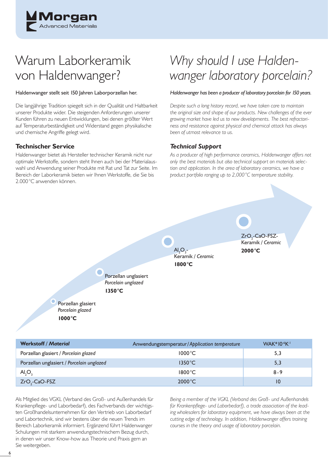

# Warum Laborkeramik von Haldenwanger?

#### Haldenwanger stellt seit 150 Jahren Laborporzellan her.

Die langjährige Tradition spiegelt sich in der Qualität und Haltbarkeit unserer Produkte wider. Die steigenden Anforderungen unserer Kunden führen zu neuen Entwicklungen, bei denen größter Wert auf Temperaturbeständigkeit und Widerstand gegen physikalische und chemische Angriffe gelegt wird.

## **Technischer Service**

Haldenwanger bietet als Hersteller technischer Keramik nicht nur optimale Werkstoffe, sondern steht Ihnen auch bei der Materialauswahl und Anwendung seiner Produkte mit Rat und Tat zur Seite. Im Bereich der Laborkeramik bieten wir Ihnen Werkstoffe, die Sie bis 2.000 °C anwenden können.

# *Why should I use Haldenwanger laboratory porcelain?*

#### *Haldenwanger has been a producer of laboratory porcelain for 150 years.*

*Despite such a long history record, we have taken care to maintain the original size and shape of our products. New challenges of the ever growing market have led us to new developments. The best refractoriness and resistance against physical and chemical attack has always been of utmost relevance to us.* 

## *Technical Support*

 $AI<sub>2</sub>O<sub>3</sub>$ 

**1800 °C**

Keramik */ Ceramic*

*As a producer of high performance ceramics, Haldenwanger offers not only the best materials but also technical support on materials selection and application. In the area of laboratory ceramics, we have a product portfolio ranging up to 2,000 °C temperature stability.* 

> $ZrO<sub>2</sub>$ -CaO-FSZ-Keramik */ Ceramic* **2000 °C**

Porzellan unglasiert *Porcelain unglazed* **1350 °C**

Porzellan glasiert *Porcelain glazed* **1000 °C**

| <b>Werkstoff / Material</b>               | Anwendungstemperatur/Application temperature | <b>WAK*10-6K-1</b> |
|-------------------------------------------|----------------------------------------------|--------------------|
| Porzellan glasiert / Porcelain glazed     | $1000^{\circ}$ C                             | 5,3                |
| Porzellan unglasiert / Porcelain unglazed | $1350^{\circ}$ C                             | 5,3                |
| AI, O,                                    | $1800^{\circ}$ C                             | $8 - 9$            |
| ZrO <sub>2</sub> -CaO-FSZ                 | $2000^{\circ}$ C                             | 10                 |

Als Mitglied des VGKL (Verband des Groß- und Außenhandels für Krankenpflege- und Laborbedarf), des Fachverbands der wichtigsten Großhandelsunternehmen für den Vertrieb von Laborbedarf und Labortechnik, sind wir bestens über die neuen Trends im Bereich Laborkeramik informiert. Ergänzend führt Haldenwanger Schulungen mit starkem anwendungstechnischem Bezug durch, in denen wir unser Know-how aus Theorie und Praxis gern an Sie weitergeben.

*Being a member of the VGKL (Verband des Groß- und Außenhandels*  für Krankenpflege- und Laborbedarf), a trade association of the lead*ing wholesalers for laboratory equipment, we have always been at the cutting edge of technology. In addition, Haldenwanger offers training courses in the theory and usage of laboratory porcelain.*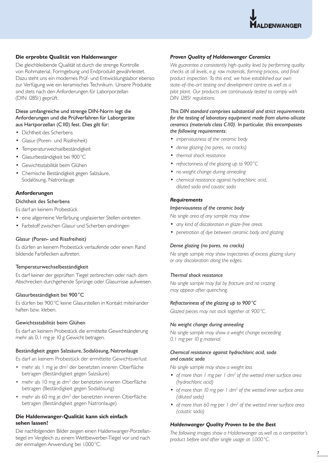

#### **Die erprobte Qualität von Haldenwanger**

Die gleichbleibende Qualität ist durch die strenge Kontrolle von Rohmaterial, Formgebung und Endprodukt gewährleistet. Dazu steht uns ein modernes Prüf- und Entwicklungslabor ebenso zur Verfügung wie ein keramisches Technikum. Unsere Produkte sind stets nach den Anforderungen für Laborporzellan (DIN 12851) geprüft.

#### Diese umfangreiche und strenge DIN-Norm legt die Anforderungen und die Prüfverfahren für Laborgeräte aus Hartporzellan (C110) fest. Dies gilt für:

- Dichtheit des Scherbens
- Glasur (Poren- und Rissfreiheit)
- Temperaturwechselbeständigkeit
- Glasurbeständigkeit bei 900 °C
- Gewichtsstabilität beim Glühen
- Chemische Beständigkeit gegen Salzsäure, Sodalösung, Natronlauge

#### **Anforderungen**

### Dichtheit des Scherbens

Es darf an keinem Probestück

- eine allgemeine Verfärbung unglasierter Stellen eintreten
- Farbstoff zwischen Glasur und Scherben eindringen

#### Glasur (Poren- und Rissfreiheit)

Es dürfen an keinem Probestück verlaufende oder einen Rand bildende Farbflecken auftreten.

#### Temperaturwechselbeständigkeit

Es darf keiner der geprüften Tiegel zerbrechen oder nach dem Abschrecken durchgehende Sprünge oder Glasurrisse aufweisen.

#### Glasurbeständigkeit bei 900 °C

Es dürfen bei 900 °C keine Glasurstellen in Kontakt miteinander haften bzw. kleben.

#### Gewichtsstabilität beim Glühen

Es darf an keinem Probestück die ermittelte Gewichtsänderung mehr als 0,1 mg je 10 g Gewicht betragen.

#### Beständigkeit gegen Salzsäure, Sodalösung, Natronlauge

Es darf an keinem Probestück der ermittelte Gewichtsverlust

- mehr als I mg je dm<sup>2</sup> der benetzten inneren Oberfläche betragen (Beständigkeit gegen Salzsäure)
- mehr als 10 mg je dm<sup>2</sup> der benetzten inneren Oberfläche betragen (Beständigkeit gegen Sodalösung)
- mehr als 60 mg je dm<sup>2</sup> der benetzten inneren Oberfläche betragen (Beständigkeit gegen Natronlauge)

#### **Die Haldenwanger-Qualität kann sich einfach sehen lassen!**

Die nachfolgenden Bilder zeigen einen Haldenwanger-Porzellantiegel im Vergleich zu einem Wettbewerber-Tiegel vor und nach der einmaligen Anwendung bei 1.000 °C.

#### *Proven Quality of Haldenwanger Ceramics*

*We guarantee a consistently high quality level by performing quality*  checks at all levels, e.g. raw materials, forming process, and final *product inspection. To this end, we have established our own state-of-the-art testing and development centre as well as a pilot plant. Our products are continuously tested to comply with DIN 12851 regulations.* 

#### *This DIN standard comprises substantial and strict requirements for the testing of laboratory equipment made from alumo-silicate ceramics (materials class C110). In particular, this encompasses the following requirements:*

- *imperviousness of the ceramic body*
- *dense glazing (no pores, no cracks)*
- *thermal shock resistance*
- *refractoriness of the glazing up to 900 °C*
- *no weight change during annealing*
- *chemical resistance against hydrochloric acid, diluted soda and caustic soda*

#### *Requirements*

#### *Imperviousness of the ceramic body*

*No single area of any sample may show*

- *any kind of discoloration in glaze-free areas*
- *penetration of dye between ceramic body and glazing*

#### *Dense glazing (no pores, no cracks)*

*No single sample may show trajectories of excess glazing slurry or any discoloration along the edges.*

#### *Thermal shock resistance*

*No single sample may fail by fracture and no crazing may appear after quenching.*

#### *Refractoriness of the glazing up to 900 °C*

*Glazed pieces may not stick together at 900 °C.* 

#### *No weight change during annealing*

*No single sample may show a weight change exceeding 0.1 mg per 10 g material.*

#### *Chemical resistance against hydrochloric acid, soda and caustic soda*

*No single sample may show a weight loss* 

- of more than I mg per I dm<sup>2</sup> of the wetted inner surface area *(hydrochloric acid)*
- of more than 10 mg per 1 dm<sup>2</sup> of the wetted inner surface area *(diluted soda)*
- of more than 60 mg per 1 dm<sup>2</sup> of the wetted inner surface area *(caustic soda)*

#### *Haldenwanger Quality Proven to be the Best*

*The following images show a Haldenwanger as well as a competitor's product before and after single usage at 1,000 °C.*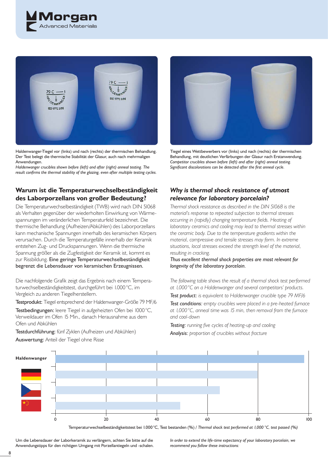



Haldenwanger-Tiegel vor (links) und nach (rechts) der thermischen Behandlung. Der Test belegt die thermische Stabilität der Glasur, auch nach mehrmaligen Anwendungen.

*Haldenwanger crucibles shown before (left) and after (right) anneal testing. The*  result confirms the thermal stability of the glazing, even after multiple testing cycles.

## **Warum ist die Temperaturwechselbeständigkeit des Laborporzellans von großer Bedeutung ?**

Die Temperaturwechselbeständigkeit (TWB) wird nach DIN 51068 als Verhalten gegenüber der wiederholten Einwirkung von Wärmespannungen im veränderlichen Temperaturfeld bezeichnet. Die thermische Behandlung (Aufheizen/Abkühlen) des Laborporzellans kann mechanische Spannungen innerhalb des keramischen Körpers verursachen. Durch die Temperaturgefälle innerhalb der Keramik entstehen Zug- und Druckspannungen. Wenn die thermische Spannung größer als die Zugfestigkeit der Keramik ist, kommt es zur Rissbildung. Eine geringe Temperaturwechselbeständigkeit begrenzt die Lebensdauer von keramischen Erzeugnissen.

Die nachfolgende Grafik zeigt das Ergebnis nach einem Temperaturwechselbeständigkeitstest, durchgeführt bei 1.000 °C, im Vergleich zu anderen Tiegelherstellern.

Testprodukt: Tiegel entsprechend der Haldenwanger-Größe 79 MF/6

Testbedingungen: leere Tiegel in aufgeheizten Ofen bei 1000 °C, Verweildauer im Ofen 15 Min., danach Herausnahme aus dem Ofen und Abkühlen

Testdurchführung: fünf Zyklen (Aufheizen und Abkühlen)

Auswertung: Anteil der Tiegel ohne Risse



Tiegel eines Wettbewerbers vor (links) und nach (rechts) der thermischen Behandlung, mit deutlichen Verfärbungen der Glasur nach Erstanwendung. *Competitor crucibles shown before (left) and after (right) anneal testing.*  Significant discolorations can be detected after the first anneal cycle.

## *Why is thermal shock resistance of utmost relevance for laboratory porcelain?*

*Thermal shock resistance as described in the DIN 51068 is the material's response to repeated subjection to thermal stresses occurring in (rapidly) changing temperature fields. Heating of laboratory ceramics and cooling may lead to thermal stresses within the ceramic body. Due to the temperature gradients within the material, compressive and tensile stresses may form. In extreme situations, local stresses exceed the strength level of the material, resulting in cracking.* 

*Thus excellent thermal shock properties are most relevant for longevity of the laboratory porcelain.* 

*The following table shows the result of a thermal shock test performed at 1,000 °C on a Haldenwanger and several competitors' products.* 

*Test product: is equivalent to Haldenwanger crucible type 79 MF/6*

*Test conditions: empty crucibles were placed in a pre-heated furnace at 1,000 °C, anneal time was 15 min, then removal from the furnace and cool-down* 

**Testing:** running five cycles of heating-up and cooling *Analysis: proportion of crucibles without fracture*



Temperaturwechselbeständigkeitstest bei 1.000 °C, Test bestanden (%) / *Thermal shock test performed at 1,000 °C, test passed (%)*

Um die Lebensdauer der Laborkeramik zu verlängern, achten Sie bitte auf die Anwendungstipps für den richtigen Umgang mit Porzellantiegeln und -schalen. *In order to extend the life-time expectancy of your laboratory porcelain, we recommend you follow these instructions:*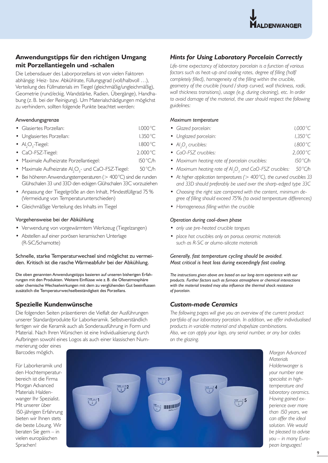

## **Anwendungstipps für den richtigen Umgang mit Porzellantiegeln und -schalen**

Die Lebensdauer des Laborporzellans ist von vielen Faktoren abhängig: Heiz- bzw. Abkühlrate, Füllungsgrad (voll/halbvoll …), Verteilung des Füllmaterials im Tiegel (gleichmäßig/ungleichmäßig), Geometrie (rund/eckig, Wandstärke, Radien, Übergänge), Handhabung (z. B. bei der Reinigung). Um Materialschädigungen möglichst zu verhindern, sollten folgende Punkte beachtet werden:

#### Anwendungsgrenze

| · Glasiertes Porzellan:                 | $1.000^{\circ}$ C |
|-----------------------------------------|-------------------|
| • Unglasiertes Porzellan:               | $1.350^{\circ}$ C |
| • $AI_2O_3$ -Tiegel:                    | $1.800^{\circ}$ C |
| • CaO-FSZ-Tiegel:                       | $2.000^{\circ}$ C |
| • Maximale Aufheizrate Porzellantiegel: | $150^{\circ}$ C/h |
|                                         |                   |

- Maximale Aufheizrate  $Al_2O_3$  und CaO-FSZ-Tiegel: 50 °C/h
- Bei höheren Anwendungstemperaturen (> 400 °C) sind die runden Glühschalen 33 und 33D den eckigen Glühschalen 33C vorzuziehen
- Anpassung der Tiegelgröße an den Inhalt, Mindestfüllgrad 75 % (Vermeidung von Temperaturunterschieden)
- Gleichmäßige Verteilung des Inhalts im Tiegel

#### Vorgehensweise bei der Abkühlung

- Verwendung von vorgewärmtem Werkzeug (Tiegelzangen)
- Abstellen auf einer porösen keramischen Unterlage (R-SiC/Schamotte)

Schnelle, starke Temperaturwechsel sind möglichst zu vermeiden. Kritisch ist die rasche Wärmeabfuhr bei der Abkühlung.

Die oben genannten Anwendungstipps basieren auf unseren bisherigen Erfahrungen mit den Produkten. Weitere Einflüsse wie z. B. die Ofenatmosphäre oder chemische Wechselwirkungen mit dem zu verglühenden Gut beeinflussen zusätzlich die Temperaturwechselbeständigkeit des Porzellans.

## **Spezielle Kundenwünsche**

Die folgenden Seiten präsentieren die Vielfalt der Ausführungen unserer Standardprodukte für Laborkeramik. Selbstverständlich fertigen wir die Keramik auch als Sonderausführung in Form und Material. Nach Ihren Wünschen ist eine Individualisierung durch Aufbringen sowohl eines Logos als auch einer klassischen Nummerierung oder eines

Barcodes möglich.

Für Laborkeramik und den Hochtemperaturbereich ist die Firma Morgan Advanced Materials Haldenwanger Ihr Spezialist. Mit unserer über 150-jährigen Erfahrung bieten wir Ihnen stets die beste Lösung. Wir beraten Sie gern – in vielen europäischen Sprachen!



*Morgan Advanced Materials Haldenwanger is your number one specialist in hightemperature and laboratory ceramics. Having gained experience over more than 150 years, we can offer the ideal solution. We would be pleased to advise you – in many European languages!*

## *Hints for Using Laboratory Porcelain Correctly*

*Life-time expectancy of laboratory porcelain is a function of various*  factors such as heat-up and cooling rates, degree of filling (half) *completely filled), homogeneity of the filling within the crucible, geometry of the crucible (round / sharp curved, wall thickness, radii, wall thickness transitions), usage (e.g. during cleaning), etc. In order to avoid damage of the material, the user should respect the following guidelines:* 

#### *Maximum temperature*

| $1,000^{\circ}$ C<br>• Glazed porcelain: |  |
|------------------------------------------|--|
|------------------------------------------|--|

- *Unglazed porcelain: 1,350 °C*
- $Al_2O_3$  crucibles: 1,800 °C
- *CaO-FSZ crucibles: 2,000 °C • Maximum heating rate of porcelain crucibles: 150 °C/h*
- Maximum heating rate of Al<sub>2</sub>O<sub>3</sub> and CaO-FSZ crucibles: 50 °C/h
- *At higher application temperatures (> 400 °C), the curved crucibles 33 and 33D should preferably be used over the sharp-edged type 33C*
- *Choosing the right size compared with the content, minimum de*gree of filling should exceed 75% (to avoid temperature differences)
- Homogeneous filling within the crucible

#### *Operation during cool-down phase*

- *only use pre-heated crucible tongues*
- *place hot crucibles only on porous ceramic materials such as R-SiC or alumo-silicate materials*

#### *Generally, fast temperature cycling should be avoided. Most critical is heat loss during exceedingly fast cooling.*

*The instructions given above are based on our long-term experience with our products. Further factors such as furnace atmosphere or chemical interactions*  with the material treated may also influence the thermal shock resistance *of porcelain.* 

## *Custom-made Ceramics*

*The following pages will give you an overview of the current product portfolio of our laboratory porcelain. In addition, we offer individualised products in variable material and shape/size combinations. Also, we can apply your logo, any serial number, or any bar codes on the glazing.*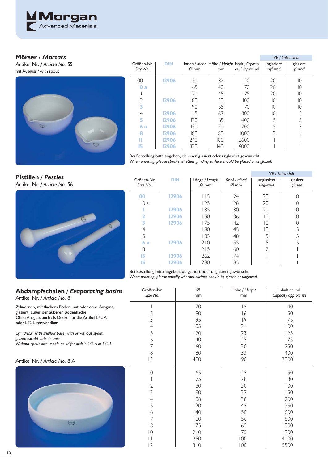

## **Mörser** */ Mortars*

Artikel Nr. */ Article No.* 55 mit Ausguss / with spout



|                        |            |            |     |                                                                         | <b>VE</b> / Sales Unit |                    |
|------------------------|------------|------------|-----|-------------------------------------------------------------------------|------------------------|--------------------|
| Größen-Nr.<br>Size No. | <b>DIN</b> | Ø mm       | mm  | Innen / Inner   Höhe / Height   Inhalt / Capacity  <br>ca. / approx. ml | unglasiert<br>unglazed | glasiert<br>glazed |
| $00\,$                 | 12906      | 50         | 32  | 20                                                                      | 20                     | 10                 |
| 0a                     |            | 65         | 40  | 70                                                                      | 20                     | 10                 |
|                        |            | 70         | 45  | 75                                                                      | 20                     | $\overline{10}$    |
| 2                      | 12906      | 80         | 50  | 100                                                                     | $\overline{10}$        | 10                 |
| 3                      |            | 90         | 55  | 170                                                                     | $\overline{10}$        | 10                 |
| 4                      | 12906      | II5        | 63  | 300                                                                     | $\overline{10}$        | 5                  |
| 5                      | 12906      | 130        | 65  | 400                                                                     | 5                      |                    |
| 6a                     | 12906      | <b>I50</b> | 70  | 700                                                                     | 5                      | 5                  |
| 8                      | 12906      | 180        | 80  | 1000                                                                    |                        |                    |
| П                      | 12906      | 240        | 100 | 2600                                                                    |                        |                    |
| 15                     | 12906      | 330        | 140 | 6000                                                                    |                        |                    |

Bei Bestellung bitte angeben, ob innen glasiert oder unglasiert gewünscht.

*When ordering, please specify whether grinding surface should be glazed or unglazed.*

**Pistillen** */ Pestles* Artikel Nr. */ Article No.* 56



|                        |            |                        |                                 |                        | VE / Sales Unit    |
|------------------------|------------|------------------------|---------------------------------|------------------------|--------------------|
| Größen-Nr.<br>Size No. | <b>DIN</b> | Länge / Length<br>Ø mm | Kopf / Head<br>$\varnothing$ mm | unglasiert<br>unglazed | glasiert<br>glazed |
| 00                     | 12906      | 115                    | 24                              | 20                     | 10                 |
| 0 a                    |            | 125                    | 28                              | 20                     | 10                 |
|                        | 12906      | 135                    | 30                              | 20                     | $\overline{0}$     |
| 2                      | 12906      | 150                    | 36                              | $\overline{0}$         | 10                 |
| 3                      | 12906      | 175                    | 42                              | 10                     | $\overline{0}$     |
| 4                      |            | 180                    | 45                              | 10                     | 5                  |
| 5                      |            | 185                    | 48                              | 5                      | 5                  |
| 6a                     | 12906      | 210                    | 55                              | 5                      | 5                  |
| 8                      |            | 215                    | 60                              | $\overline{2}$         |                    |
| 13                     | 12906      | 262                    | 74                              |                        |                    |
| 15                     | 12906      | 280                    | 85                              |                        |                    |

VE */ Sales Unit*

Bei Bestellung bitte angeben, ob glasiert oder unglasiert gewünscht. *When ordering, please specify whether surface should be glazed or unglazed.*

#### Größen-Nr. Ø Höhe */ Height* Inhalt ca. ml **Abdampfschalen** */ Evaporating basins Size No.* mm *Capacity approx. ml* mm U

## Artikel Nr. */ Article No.* 8

Zylindrisch, mit flachem Boden, mit oder ohne Ausguss, glasiert, außer der äußeren Bodenfläche Ohne Ausguss auch als Deckel für die Artikel L42 A oder L42 L verwendbar *Cylindrical, with shallow base, with or without spout, glazed except outside base Without spout also usable as lid for article L42 A or L42 L* Artikel Nr. */ Article No.* 8 A

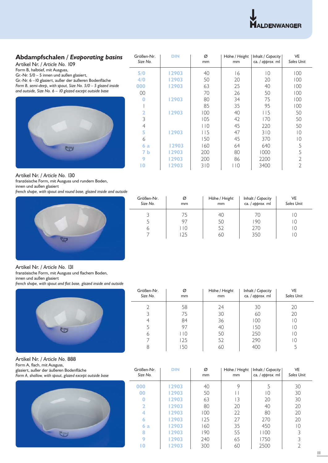

## **Abdampfschalen** */ Evaporating basins*

Artikel Nr. */ Article No.* 109

- Form B, halbtief, mit Ausguss,
- Gr.-Nr. 5/0 5 innen und außen glasiert,

Gr.-Nr. 6 – 10 glasiert, außer der äußeren Bodenfläche *Form B, semi-deep*, *with spout, Size No. 5/0 – 5 glazed inside* 

*and outside, Size No. 6 – 10 glazed except outside base*



| Größen-Nr.<br>Size No. | <b>DIN</b> | Ø<br>mm | Höhe / Height<br>mm | Inhalt / Capacity<br>ca. / approx. ml | <b>VE</b><br><b>Sales Unit</b> |
|------------------------|------------|---------|---------------------|---------------------------------------|--------------------------------|
| 5/0                    | 12903      | 40      | 16                  | $\overline{0}$                        | 100                            |
| 4/0                    | 12903      | 50      | 20                  | 20                                    | 100                            |
| 000                    | 12903      | 63      | 25                  | 40                                    | 100                            |
| 00                     |            | 70      | 26                  | 50                                    | 100                            |
| 0                      | 12903      | 80      | 34                  | 75                                    | 100                            |
|                        |            | 85      | 35                  | 95                                    | 100                            |
| 2                      | 12903      | 100     | 40                  | 115                                   | 50                             |
| 3                      |            | 105     | 42                  | 170                                   | 50                             |
| $\overline{4}$         |            | 110     | 45                  | 220                                   | 50                             |
| 5                      | 12903      | 115     | 47                  | 310                                   | $\overline{0}$                 |
| 6                      |            | 150     | 45                  | 370                                   | $\overline{0}$                 |
| 6a                     | 12903      | 160     | 64                  | 640                                   | 5                              |
| 7 b                    | 12903      | 200     | 80                  | 1000                                  | 5                              |
| 9                      | 12903      | 200     | 86                  | 2200                                  | $\mathfrak{D}$                 |
| 10                     | 12903      | 310     | 110                 | 3400                                  | 2                              |

Artikel Nr. */ Article No.* 130

französische Form, mit Ausguss und rundem Boden,

innen und außen glasiert

*french shape, with spout and round base, glazed inside and outside*



| Größen-Nr.<br>Size No. | Ø<br>mm       | Höhe / Height<br>mm | Inhalt / Capacity<br>ca. / approx. ml | VE<br>Sales Unit |
|------------------------|---------------|---------------------|---------------------------------------|------------------|
|                        | 75            | 40                  | 70                                    | I U              |
|                        | 97            | 50                  | 190                                   | l ()             |
| n                      | $\Box$ $\Box$ | 52                  | 270                                   | l ()             |
|                        | 25            | 60                  | 350                                   |                  |

Artikel Nr. */ Article No.* 131

französische Form, mit Ausguss und flachem Boden,

innen und außen glasiert

french shape, with spout and flat base, glazed inside and outside



Größen-Nr. *Size No.* Ø mm Höhe */ Height* mm Inhalt */ Capacity* ca. */ approx.* ml VE *Sales Unit* 

Artikel Nr. */ Article No.* 888

Form A, flach, mit Ausguss, glasiert, außer der äußeren Bodenfläche

*Form A, shallow, with spout, glazed except outside base*



| Größen-Nr.<br>Size No. | <b>DIN</b> | Ø<br>mm | Höhe / Height<br>mm | Inhalt / Capacity  <br>ca. / approx. ml | <b>VE</b><br><b>Sales Unit</b> |
|------------------------|------------|---------|---------------------|-----------------------------------------|--------------------------------|
| 000                    | 12903      | 40      | 9                   | 5                                       | 30                             |
| 00                     | 12903      | 50      |                     | 10                                      | 30                             |
| 0                      | 12903      | 63      | 13                  | 20                                      | 30                             |
| 2                      | 12903      | 80      | 20                  | 40                                      | 20                             |
| 4                      | 12903      | 100     | 22                  | 80                                      | 20                             |
| 6                      | 12903      | 125     | 27                  | 270                                     | 20                             |
| 6a                     | 12903      | 160     | 35                  | 450                                     | $\Omega$                       |
| 8                      | 12903      | 190     | 55                  | 1100                                    | 3                              |
| 9                      | 12903      | 240     | 65                  | 1750                                    | 3                              |
| 10                     | 12903      | 300     | 60                  | 2500                                    |                                |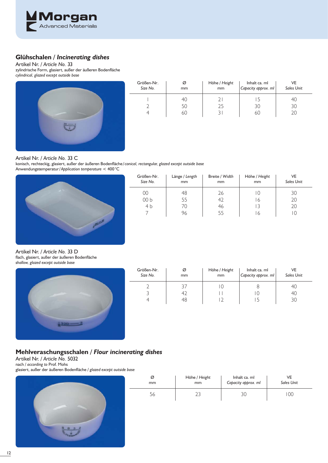

## **Glühschalen** */ Incinerating dishes*

Artikel Nr. */ Article No.* 33 zylindrische Form, glasiert, außer der äußeren Bodenfläche *cylindrical, glazed except outside base*



| Größen-Nr.<br>Size No. | Ø<br>mm | Höhe / Height<br>mm | Inhalt ca. ml<br>Capacity approx. ml | VE<br><b>Sales Unit</b> |
|------------------------|---------|---------------------|--------------------------------------|-------------------------|
|                        | 40      |                     |                                      | 40                      |
|                        | 50      | 25                  | 30                                   | 30                      |
|                        | 60      |                     | 60                                   | 20                      |

#### Artikel Nr. */ Article No.* 33 C

konisch, rechteckig, glasiert, außer der äußeren Bodenfläche/conical, rectangular, glazed except outside base Anwendungstemperatur / *Application temperature* < 400 °C

J.



| Größen-Nr.<br>Size No. | Länge / Length<br>mm | Breite / Width<br>mm | Höhe / Height<br>mm | VE<br><b>Sales Unit</b> |
|------------------------|----------------------|----------------------|---------------------|-------------------------|
| 00                     | 48                   | 26                   | O                   | 30                      |
| 00 <sub>b</sub>        | 55                   | 42                   | 6                   | 20                      |
| 4 <sub>b</sub>         | 70                   | 46                   |                     | 20                      |
|                        | 96                   | 55                   | 6                   | 10                      |

Artikel Nr. */ Article No.* 33 D flach, glasiert, außer der äußeren Bodenfläche *shallow, glazed except outside base*



| Größen-Nr.<br>Size No. | Ø<br>mm | Höhe / Height<br>mm | Inhalt ca. ml<br>Capacity approx. ml | VE<br><b>Sales Unit</b> |
|------------------------|---------|---------------------|--------------------------------------|-------------------------|
|                        |         |                     |                                      | 40                      |
|                        | 42      |                     |                                      | 40                      |
|                        | ′ተ`     |                     |                                      |                         |

## **Mehlveraschungsschalen** */ Flour incinerating dishes*

Artikel Nr. */ Article No.* 5032

nach / *according to* Prof. Mohs

glasiert, außer der äußeren Bodenfl äche / *glazed except outside base*



| Ø             | Höhe / Height | Inhalt ca. ml       | νF                |
|---------------|---------------|---------------------|-------------------|
| <sub>mm</sub> | mm            | Capacity approx. ml | <b>Sales Unit</b> |
| Эb            |               |                     | 00                |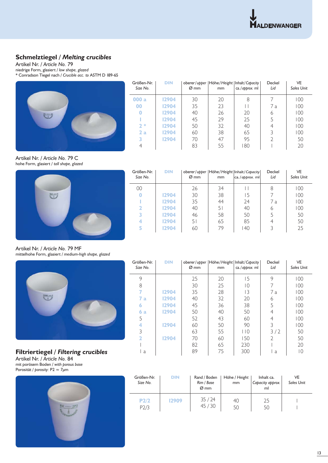## **Schmelztiegel** */ Melting crucibles*

Artikel Nr. */ Article No.* 79 niedrige Form, glasiert / *low shape, glazed*

\* Conradson Tiegel nach / *Crucible acc. to* ASTM D 189-65

|   | Größen-Nr.<br>Size No. | <b>DIN</b> | Ø mm | mm | oberer/upper   Höhe/Height   Inhalt/Capacity  <br>ca./approx. ml | Deckel<br>Lid | <b>VE</b><br><b>Sales Unit</b> |
|---|------------------------|------------|------|----|------------------------------------------------------------------|---------------|--------------------------------|
|   | 000 a                  | 12904      | 30   | 20 | 8                                                                |               | 100                            |
|   | 00                     | 12904      | 35   | 23 |                                                                  | 7 a           | 100                            |
| 一 |                        | 12904      | 40   | 26 | 20                                                               | 6             | 100                            |
|   |                        | 12904      | 45   | 29 | 25                                                               |               | 100                            |
|   | $2*$                   | 12904      | 50   | 32 | 40                                                               | 4             | 100                            |
|   | 2a                     | 12904      | 60   | 38 | 65                                                               |               | 100                            |
|   |                        | 12904      | 70   | 47 | 95                                                               |               | 50                             |
|   |                        |            | 83   | 55 | 180                                                              |               | 20                             |

 $\overline{a}$ 

Artikel Nr. */ Article No.* 79 C hohe Form, glasiert / *tall shape, glazed*



| Größen-Nr.<br>Size No. | <b>DIN</b> | $\varnothing$ mm | <sub>mm</sub> | oberer/upper   Höhe/Height   Inhalt/Capacity  <br>$ ca./approx.$ ml | Deckel<br>Lid | VE<br><b>Sales Unit</b> |
|------------------------|------------|------------------|---------------|---------------------------------------------------------------------|---------------|-------------------------|
| 00                     |            | 26               | 34            |                                                                     | 8             | 100                     |
|                        | 12904      | 30               | 38            | 15                                                                  |               | 100                     |
|                        | 12904      | 35               | 44            | 24                                                                  | 7 a           | 100                     |
|                        | 12904      | 40               | 51            | 40                                                                  | 6             | 100                     |
|                        | 12904      | 46               | 58            | 50                                                                  |               | 50                      |
|                        | 12904      | 51               | 65            | 85                                                                  | 4             | 50                      |
| Б                      | 12904      | 60               | 79            | 40                                                                  | 3             | 25                      |

Artikel Nr. */ Article No.* 79 MF mittelhohe Form, glasiert / *medium-high shape, glazed*



**Filtriertiegel** */ Filtering crucibles* Artikel Nr. */ Article No.* 84 mit porösem Boden / *with porous base* Porosität / *porosity:* P2 ≈ 7μm



| Größen-Nr.<br>Size No. | <b>DIN</b> | $\varnothing$ mm | mm | oberer/upper   Höhe/Height   Inhalt/Capacity  <br>ca./approx. ml | Deckel<br>Lid  | VE<br><b>Sales Unit</b> |
|------------------------|------------|------------------|----|------------------------------------------------------------------|----------------|-------------------------|
| 9                      |            | 25               | 20 | 15                                                               | 9              | 100                     |
| 8                      |            | 30               | 25 | 10                                                               | 7              | 100                     |
| 7                      | 12904      | 35               | 28 | 13                                                               | 7 a            | 100                     |
| 7<br>a                 | 12904      | 40               | 32 | 20                                                               | 6              | 100                     |
| 6                      | 12904      | 45               | 36 | 38                                                               | 5              | 100                     |
| 6a                     | 12904      | 50               | 40 | 50                                                               | 4              | 100                     |
| 5                      |            | 52               | 43 | 60                                                               | 4              | 100                     |
| 4                      | 12904      | 60               | 50 | 90                                                               | 3              | 100                     |
| 3                      |            | 63               | 55 | 110                                                              | 3/2            | 50                      |
| 2                      | 12904      | 70               | 60 | 150                                                              | $\overline{2}$ | 50                      |
|                        |            | 82               | 65 | 230                                                              |                | 20                      |
| a                      |            | 89               | 75 | 300                                                              | a              | 10                      |

| Größen-Nr.<br>Size No. | <b>DIN</b> | Rand / Boden<br>Rim / Base<br>$\varnothing$ mm | Höhe / Height<br>mm | Inhalt ca.<br>Capacity approx.<br>ml | VE<br><b>Sales Unit</b> |
|------------------------|------------|------------------------------------------------|---------------------|--------------------------------------|-------------------------|
| P2/2<br>P2/3           | 12909      | 35/24<br>45/30                                 | 40<br>50            | 25<br>50                             |                         |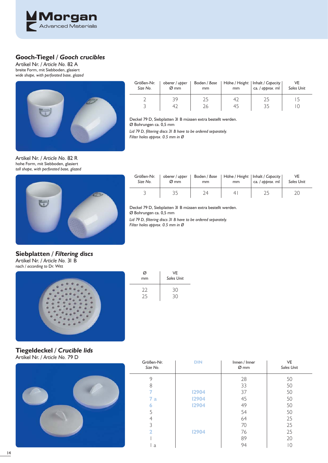

## **Gooch-Tiegel** */ Gooch crucibles*

Artikel Nr. */ Article No.* 82 A breite Form, mit Siebboden, glasiert *wide shape, with perforated base, glazed*



| Größen-Nr. | oberer / upper   | Boden / Base | mm | Höhe / Height   Inhalt / Capacity | VE                |
|------------|------------------|--------------|----|-----------------------------------|-------------------|
| Size No.   | $\varnothing$ mm | mm           |    | ca. / approx. ml                  | <b>Sales Unit</b> |
|            | 39<br>4,         | 26           | 45 |                                   |                   |

Deckel 79 D, Siebplatten 31 B müssen extra bestellt werden. Ø Bohrungen ca. 0,5 mm

Lid 79 D, filtering discs 31 B have to be ordered separately.

*Filter holes approx. 0.5 mm in Ø*

 $\overline{\phantom{a}}$ 

Artikel Nr. */ Article No.* 82 R hohe Form, mit Siebboden, glasiert *tall shape, with perforated base, glazed*



| Größen-Nr.<br>Size No. | oberer / upper<br>$\varnothing$ mm | Boden / Base<br>mm | mm | Höhe / Height   Inhalt / Capacity  <br>ca. $\frac{1}{2}$ approx. ml | <b>Sales Unit</b> |
|------------------------|------------------------------------|--------------------|----|---------------------------------------------------------------------|-------------------|
|                        |                                    |                    |    |                                                                     |                   |

Deckel 79 D, Siebplatten 31 B müssen extra bestellt werden. Ø Bohrungen ca. 0,5 mm

Lid 79 D, filtering discs 31 B have to be ordered separately. *Filter holes approx. 0.5 mm in Ø*

## **Siebplatten** */ Filtering discs*

Artikel Nr. */ Article No.* 31 B nach / *according to* Dr. Witt



| Ø<br>mm | VE<br>Sales Unit |
|---------|------------------|
| フフ      | 30<br>ろひ         |

**Tiegeldeckel** */ Crucible lids* Artikel Nr. */ Article No.* 79 D



| Größen-Nr.<br>Size No.  | <b>DIN</b> | Innen / Inner<br>$Ø$ mm | <b>VE</b><br><b>Sales Unit</b> |
|-------------------------|------------|-------------------------|--------------------------------|
| 9                       |            | 28                      | 50                             |
| 8                       |            | 33                      | 50                             |
|                         | 12904      | 37                      | 50                             |
| 7 a                     | 12904      | 45                      | 50                             |
| 6                       | 12904      | 49                      | 50                             |
| 5                       |            | 54                      | 50                             |
| 4                       |            | 64                      | 25                             |
| 3                       |            | 70                      | 25                             |
| $\overline{\mathbf{2}}$ | 12904      | 76                      | 25                             |
|                         |            | 89                      | 20                             |
| a                       |            | 94                      | 10                             |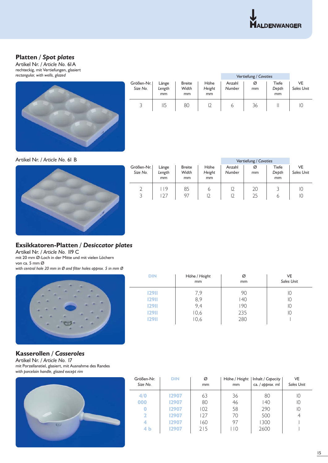## **Platten** */ Spot plates*

Artikel Nr. */ Article No.* 61A rechteckig, mit Vertiefungen, glasiert *rectangular, with wells, glazed*



|                        |                       |                              |                      | Vertiefung / Cavaties |         |                      |                         |
|------------------------|-----------------------|------------------------------|----------------------|-----------------------|---------|----------------------|-------------------------|
| Größen-Nr.<br>Size No. | Länge<br>Length<br>mm | <b>Breite</b><br>Width<br>mm | Höhe<br>Height<br>mm | Anzahl<br>Number      | Ø<br>mm | Tiefe<br>Depth<br>mm | VE<br><b>Sales Unit</b> |
|                        | 115                   | 80                           |                      | ь                     | 36      |                      | IC                      |

Artikel Nr. */ Article No.* 61 B



|                        |                       |                              |                                 |                  | Vertiefung / Cavaties |                      |                         |
|------------------------|-----------------------|------------------------------|---------------------------------|------------------|-----------------------|----------------------|-------------------------|
| Größen-Nr.<br>Size No. | Länge<br>Length<br>mm | <b>Breite</b><br>Width<br>mm | Höhe<br>Height<br><sub>mm</sub> | Anzahl<br>Number | Ø<br>mm               | Tiefe<br>Depth<br>mm | VE<br><b>Sales Unit</b> |
| 3                      | 19<br>27              | 85<br>97                     | 6                               | 12<br>12         | 20<br>25              | 6                    | IС<br>IC                |

## **Exsikkatoren-Platten** */ Desiccator plates*

Artikel Nr. */ Article No.* 119 C mit 20 mm Ø-Loch in der Mitte und mit vielen Löchern von ca. 5 mm Ø with central hole 20 mm in Ø and filter holes approx. 5 in mm Ø



| <b>DIN</b>   | Höhe / Height<br>mm | Ø<br>mm | VE<br><b>Sales Unit</b> |
|--------------|---------------------|---------|-------------------------|
| <b>12911</b> | 7,9                 | 90      | IО                      |
| <b>12911</b> | 8,9                 | 40      | IО                      |
| <b>12911</b> | 9,4                 | 190     | IО                      |
| <b>12911</b> | 10,6                | 235     | 10                      |
| <b>12911</b> | 10,6                | 280     |                         |
|              |                     |         |                         |

## **Kasserollen** */ Casseroles*

Artikel Nr. */ Article No.* 17 mit Porzellanstiel, glasiert, mit Ausnahme des Randes *with porcelain handle, glazed except rim*



| Größen-Nr.<br>Size No.  | <b>DIN</b> | Ø<br>mm | Höhe / Height<br><sub>mm</sub> | Inhalt / Capacity  <br>ca. / approx. ml | VE<br><b>Sales Unit</b> |
|-------------------------|------------|---------|--------------------------------|-----------------------------------------|-------------------------|
| 4/0                     | 12907      | 63      | 36                             | 80                                      | 10                      |
| 000                     | 12907      | 80      | 46                             | 140                                     | 10                      |
| 0                       | 12907      | 102     | 58                             | 290                                     | IО                      |
| $\overline{\mathbf{2}}$ | 12907      | 127     | 70                             | 500                                     |                         |
| 4                       | 12907      | 160     | 97                             | 1300                                    |                         |
| 4 b                     | 12907      | 215     | $\overline{10}$                | 2600                                    |                         |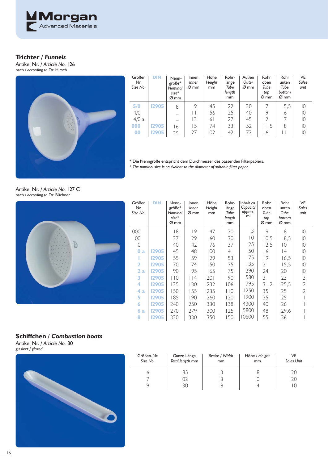

## **Trichter** */ Funnels*

Artikel Nr. */ Article No.* 126 nach */ according to* Dr. Hirsch



| Größen<br>Nr.<br>Size No. | <b>DIN</b> | Nenn-<br>größe*<br>Nominal<br>$size*$<br>Ø mm | Innen<br>Inner<br>Ø mm | Höhe<br>Height<br>mm | Rohr-<br>länge<br>Tube<br>length<br>mm | Außen<br>Outer<br>$\varnothing$ mm | Rohr<br>oben<br>Tube<br>tob<br>Ø mm | Rohr<br>unten<br>Tube<br>bottom<br>Ø mm | VE<br><b>Sales</b><br>unit |
|---------------------------|------------|-----------------------------------------------|------------------------|----------------------|----------------------------------------|------------------------------------|-------------------------------------|-----------------------------------------|----------------------------|
| 5/0                       | 12905      | 8                                             | 9                      | 45                   | 22                                     | 30                                 |                                     | 5,5                                     | 10                         |
| 4/0                       |            |                                               |                        | 56                   | 25                                     | 40                                 | 9                                   | 6                                       | $\overline{10}$            |
| 4/0a                      |            |                                               | 13                     | 61                   | 27                                     | 45                                 | $\overline{2}$                      |                                         | $\overline{10}$            |
| 000                       | 12905      | ' 6                                           | .5                     | 74                   | 33                                     | 52                                 | 11,5                                | 8                                       | $\overline{10}$            |
| 00                        | 12905      | 25                                            | 27                     | 102                  | 42                                     | 72                                 | 6                                   | $\mathsf{I}$                            | 10                         |

\* Die Nenngröße entspricht dem Durchmesser des passenden Filterpapiers.

\* *The nominal size is equivalent to the diameter of suitable fi lter paper.*

Artikel Nr. */ Article No.* 127 C nach */ according to* Dr. Büchner



 $\overline{a}$ 

| Größen<br>Nr.<br>Size No. | <b>DIN</b> | Nenn-<br>$gr\ddot{o}Be*$<br>Nominal<br>$size*$<br>Ø mm | Innen<br>Inner<br>Ø mm | Höhe<br>Height<br>mm | Rohr-<br>länge<br>Tube<br>length<br>mm | Inhalt ca.<br>Capacity<br>approx.<br>ml | Rohr<br>oben<br>Tube<br>top<br>Ø mm | Rohr<br>unten<br>Tube<br>bottom<br>Ø mm | VE<br>Sales<br>unit |
|---------------------------|------------|--------------------------------------------------------|------------------------|----------------------|----------------------------------------|-----------------------------------------|-------------------------------------|-----------------------------------------|---------------------|
| 000                       |            | 18                                                     | 9                      | 47                   | 20                                     | 3                                       | 9                                   | 8                                       | 10                  |
| 00                        |            | 27                                                     | 29                     | 60                   | 30                                     | 10                                      | 10,5                                | 8,5                                     | 10                  |
| 0                         |            | 40                                                     | 42                     | 76                   | 37                                     | 25                                      | 12,5                                | $\overline{10}$                         | 10                  |
| $\bf{0}$<br>a             | 12905      | 45                                                     | 48                     | 100                  | 4 <sup>1</sup>                         | 50                                      | 16                                  | 4                                       | 10                  |
|                           | 12905      | 55                                                     | 59                     | 129                  | 53                                     | 75                                      | 9                                   | 16,5                                    | $\overline{10}$     |
| $\overline{\mathbf{2}}$   | 12905      | 70                                                     | 74                     | 150                  | 75                                     | 135                                     | 21                                  | 15,5                                    | 10                  |
| 2a                        | 12905      | 90                                                     | 95                     | 165                  | 75                                     | 290                                     | 24                                  | 20                                      | 10                  |
| 3                         | 12905      | 110                                                    | $ $  4                 | 201                  | 90                                     | 580                                     | $\overline{\mathcal{E}}$            | 23                                      | 3                   |
| 4                         | 12905      | 125                                                    | 130                    | 232                  | 106                                    | 795                                     | 31,2                                | 25,5                                    | $\overline{2}$      |
| 4<br>a                    | 12905      | 150                                                    | 155                    | 235                  | 110                                    | 1250                                    | 35                                  | 25                                      | $\mathfrak{D}$      |
| 5                         | 12905      | 185                                                    | 190                    | 260                  | 120                                    | 1900                                    | 35                                  | 25                                      |                     |
| 6                         | 12905      | 240                                                    | 250                    | 330                  | 138                                    | 4300                                    | 40                                  | 26                                      |                     |
| 6.<br>a                   | 12905      | 270                                                    | 279                    | 300                  | 125                                    | 5800                                    | 48                                  | 29.6                                    |                     |
| 8                         | 12905      | 320                                                    | 330                    | 350                  | 150                                    | 10600                                   | 55                                  | 36                                      |                     |

## **Schiffchen** */ Combustion boats*

Artikel Nr. */ Article No.* 30 glasiert */ glazed* 



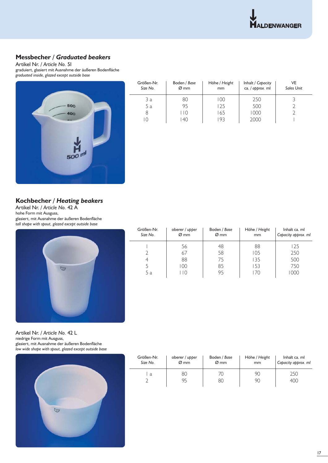

## **Messbecher** */ Graduated beakers*

Artikel Nr. */ Article No.* 51 graduiert, glasiert mit Ausnahme der äußeren Bodenfläche *graduated inside, glazed except outside base*



| Größen-Nr.<br>Size No. | Boden / Base<br>$\varnothing$ mm | Höhe / Height<br>mm | Inhalt / Capacity<br>ca. / approx. ml | VE<br><b>Sales Unit</b> |
|------------------------|----------------------------------|---------------------|---------------------------------------|-------------------------|
| 3а                     | 80                               | 00                  | 250                                   |                         |
| 5 a                    | 95                               | 125                 | 500                                   |                         |
| 8                      | l I O                            | 165                 | 1000                                  |                         |
| 10                     | 140                              | 193                 | 2000                                  |                         |

## **Kochbecher** */ Heating beakers*

Artikel Nr. */ Article No.* 42 A hohe Form mit Ausguss, glasiert, mit Ausnahme der äußeren Bodenfläche *tall shape with spout, glazed except outside base*



| Größen-Nr.<br>Size No. | oberer / upper<br>$\varnothing$ mm | Boden / Base<br>$\varnothing$ mm | Höhe / Height<br>mm | Inhalt ca. ml<br>Capacity approx. ml |
|------------------------|------------------------------------|----------------------------------|---------------------|--------------------------------------|
|                        | 56                                 | 48                               | 88                  | 125                                  |
|                        | 67                                 | 58                               | 105                 | 250                                  |
|                        | 88                                 | 75                               | 135                 | 500                                  |
|                        | 100                                | 85                               | 153                 | 750                                  |
| 5а                     | l 10                               | 95                               | 170                 | 1000                                 |

Artikel Nr. */ Article No.* 42 L niedrige Form mit Ausguss, glasiert, mit Ausnahme der äußeren Bodenfläche *low wide shape with spout, glazed except outside base*



| Größen-Nr. | oberer / upper | Boden / Base     | Höhe / Height | Inhalt ca. ml       |
|------------|----------------|------------------|---------------|---------------------|
| Size No.   | Ø~mm           | $\varnothing$ mm | mm            | Capacity approx. ml |
| a          | 80<br>95       |                  | 90<br>90      | 250<br>400          |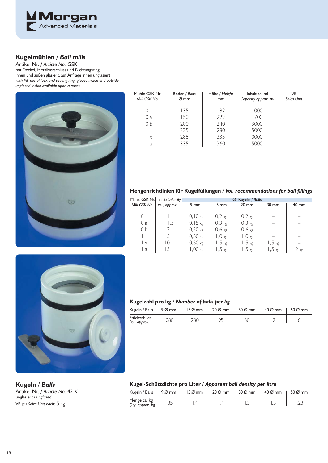

## **Kugelmühlen** */ Ball mills*

Artikel Nr. */ Article No.* GSK mit Deckel, Metallverschluss und Dichtungsring, innen und außen glasiert, auf Anfrage innen unglasiert *with lid, metal lock and sealing ring, glazed inside and outside, unglazed inside available upon request*



| Mühle GSK-Nr.<br>Mill GSK No. | Boden / Base<br>$\varnothing$ mm | Höhe / Height<br>mm | Inhalt ca. ml<br>Capacity approx. ml | VE<br><b>Sales Unit</b> |
|-------------------------------|----------------------------------|---------------------|--------------------------------------|-------------------------|
|                               | 135                              | 182                 | 1000                                 |                         |
| 0 a                           | 150                              | 222                 | 1700                                 |                         |
| 0 <sub>b</sub>                | 200                              | 240                 | 3000                                 |                         |
|                               | 225                              | 280                 | 5000                                 |                         |
| $\times$                      | 288                              | 333                 | 10000                                |                         |
| a                             | 335                              | 360                 | 5000                                 |                         |

## **Mengenrichtlinien für Kugelfüllungen / Vol. recommendations for ball fillings**

|                | Mühle GSK-Nr.   Inhalt / Capacity |                |                   | Ø Kugeln / Balls |                 |                 |
|----------------|-----------------------------------|----------------|-------------------|------------------|-----------------|-----------------|
| Mill GSK No.   | ca./approx. I                     | $9 \text{ mm}$ | $15 \, \text{mm}$ | $20 \text{ mm}$  | $30 \text{ mm}$ | $40 \text{ mm}$ |
| 0              |                                   | $0,10$ kg      | $0,2$ kg          | $0,2$ kg         |                 |                 |
| 0 a            | 1,5                               | $0,15$ kg      | $0,3$ kg          | $0,3$ kg         |                 |                 |
| 0 <sub>b</sub> |                                   | $0,30$ kg      | $0,6$ kg          | $0,6$ kg         |                 |                 |
|                |                                   | $0,50$ kg      | $1,0$ kg          | $1,0$ kg         |                 |                 |
| $\mathsf{X}$   | 10                                | $0,50$ kg      | $1,5$ kg          | $1,5$ kg         | $1,5$ kg        |                 |
| a              |                                   | $1,00$ kg      | $1,5$ kg          | $1,5$ kg         | $1,5$ kg        | $2$ kg          |



#### **Kugelzahl pro kg /** *Number of balls per kg*

| Kugeln / Balls                | 9 Ø mm |     | $15\%$ mm $\qquad$ 20 $\%$ mm | 30 Ø mm | 40 Ø mm | 50 $\varnothing$ mm |
|-------------------------------|--------|-----|-------------------------------|---------|---------|---------------------|
| Stückzahl ca.<br>Pcs. approx. | 1080   | 230 | 95                            |         |         |                     |

Artikel Nr. */ Article No.* 42 K unglasiert / un*glazed*  VE je / *Sales Unit each:* 5 kg

## **Kugeln** */ Balls* **Kugel-Schüttdichte pro Liter /** *Apparent ball density per litre*

| Kugeln / Balls                  | $9\%$ mm | $15\%$ mm | $20\%$ mm | 30 Ø mm | 40 Ø mm | 50 $\varnothing$ mm |
|---------------------------------|----------|-----------|-----------|---------|---------|---------------------|
| Menge ca. kg<br>Qty. approx. kg |          |           |           |         |         |                     |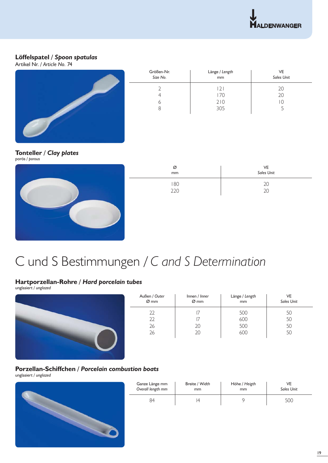

## **Löffelspatel** */ Spoon spatulas*

Artikel Nr. */ Article No.* 74



| Größen-Nr.<br>Size No. | Länge / Length<br>mm | VE<br>Sales Unit |
|------------------------|----------------------|------------------|
|                        | 21                   | 20               |
| 4                      | 170                  | 20               |
| b                      | 210                  | $\overline{ }$   |
| ୪                      | 305                  |                  |
|                        |                      |                  |

## **Tonteller** */ Clay plates*



| Ø<br>mm      | VE<br>Sales Unit |
|--------------|------------------|
| $180$<br>220 | 20               |

# C und S Bestimmungen / *C and S Determination*

## **Hartporzellan-Rohre** */ Hard porcelain tubes*

unglasiert / *unglazed*



| Außen / Outer<br>$Ø$ mm | Innen / Inner<br>$\varnothing$ mm | Länge / Length<br>mm | VE<br><b>Sales Unit</b> |
|-------------------------|-----------------------------------|----------------------|-------------------------|
| 22                      |                                   | 500                  | 50                      |
| 22                      |                                   | 600                  | 50                      |
| 26                      | 20                                | 500                  | 50                      |
| 26                      | 20                                | 600                  | 50                      |
|                         |                                   |                      |                         |
|                         |                                   |                      |                         |

### **Porzellan-Schiffchen** */ Porcelain combustion boats*  unglasiert / *unglazed*



| Ganze Länge mm    | Breite / Width | Höhe / Heigth | VE                |
|-------------------|----------------|---------------|-------------------|
| Overall length mm | mm             | mm            | <b>Sales Unit</b> |
|                   |                |               | 500               |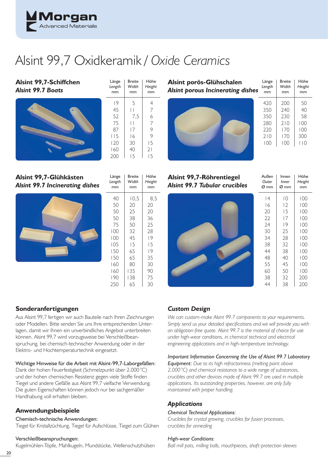

# Alsint 99,7 Oxidkeramik */ Oxide Ceramics*

Breite *Width* mm

Höhe *Height* mm

Länge *Length* mm

**Alsint 99,7-Schiffchen** *Alsint 99.7 Boats*



**Alsint 99,7-Glühkästen** *Alsint 99.7 Incinerating dishes*



| l 15<br>120<br>160<br>200 | 16<br>30<br>40<br>15         | 9<br>15<br>21<br>15  |
|---------------------------|------------------------------|----------------------|
| Länge<br>Length<br>mm     | <b>Breite</b><br>Width<br>mm | Höhe<br>Height<br>mm |
| 40                        | 10,5                         | 8,5                  |
| 50                        | 20                           | 20                   |
| 50                        | 25                           | 20                   |
| 50                        | 38                           | 36                   |
| 75                        | 50                           | 25                   |
| 100                       | 32                           | 28                   |
| 100                       | 45                           | 9                    |
| 105                       | 15                           | 15                   |
| 150                       | 65                           | 19                   |
| 150                       | 65                           | 35                   |
| 160                       | 80                           | 30                   |
| 160                       | 135                          | 90                   |
| 190                       | 138                          | 75                   |

65 30

**Alsint porös-Glühschalen Alsint porous Incinerating dish** 



| hes | Länge<br>Length<br>mm | <b>Breite</b><br>Width<br>mm | Höhe<br>Height<br>mm |
|-----|-----------------------|------------------------------|----------------------|
|     | 420                   | 200                          | 50                   |
|     | 350                   | 740                          | 40                   |
|     | 350                   | 230                          | 58                   |
|     | 280                   | 210                          | 100                  |
|     | 220                   | 170                          | 100                  |
|     | 210                   | 170                          | 300                  |
|     | 100                   | 100                          | $\overline{10}$      |
|     |                       |                              |                      |

| Alsint 99,7-Röhrentiegel<br><b>Alsint 99.7 Tubular crucibles</b> | Außen<br>Outer<br>Ø mm | Innen<br><b>Inner</b><br>Ø mm | Höhe<br>Height<br>mm |
|------------------------------------------------------------------|------------------------|-------------------------------|----------------------|
|                                                                  | 4                      | $\overline{0}$                | 100                  |
|                                                                  | 16                     | 12                            | 100                  |
|                                                                  | 20                     | 15                            | 100                  |
|                                                                  | 22                     | 17                            | 100                  |
|                                                                  | 24                     | 9                             | 100                  |
|                                                                  | 30                     | 25                            | 100                  |
|                                                                  | 34                     | 28                            | 100                  |
|                                                                  | 38                     | 32                            | 100                  |
|                                                                  | 44                     | 38                            | 100                  |
|                                                                  | 48                     | 40                            | 100                  |
|                                                                  | 55                     | 45                            | 100                  |
|                                                                  | 60                     | 50                            | 100                  |
|                                                                  | 38                     | 32                            | 200                  |
|                                                                  | 44                     | 38                            | 200                  |

## **Sonderanfertigungen**

Aus Alsint 99,7 fertigen wir auch Bauteile nach Ihren Zeichnungen oder Modellen. Bitte senden Sie uns Ihre entsprechenden Unterlagen, damit wir Ihnen ein unverbindliches Angebot unterbreiten können. Alsint 99,7 wird vorzugsweise bei Verschleißbeanspruchung, bei chemisch-technischer Anwendung oder in der Elektro- und Hochtemperaturtechnik eingesetzt.

#### Wichtige Hinweise für die Arbeit mit Alsint-99,7-Laborgefäßen:

Dank der hohen Feuerfestigkeit (Schmelzpunkt über 2.000 °C) und der hohen chemischen Resistenz gegen viele Stoffe finden Tiegel und andere Gefäße aus Alsint 99,7 vielfache Verwendung. Die guten Eigenschaften können jedoch nur bei sachgemäßer Handhabung voll erhalten bleiben.

## **Anwendungsbeispiele**

#### Chemisch-technische Anwendungen:

Tiegel für Kristallzüchtung, Tiegel für Aufschlüsse, Tiegel zum Glühen

#### Verschleißbeanspruchungen:

Kugelmühlen-Töpfe, Mahlkugeln, Mundstücke, Wellenschutzhülsen

## *Custom Design*

*We can custom-make Alsint 99.7 components to your requirements.*  Simply send us your detailed specifications and we will provide you with *an obligation-free quote. Alsint 99.7 is the material of choice for use under high-wear conditions, in chemical technical and electrical engineering applications and in high-temperature technology.*

### *Important Information Concerning the Use of Alsint 99.7 Laboratory*

*Equipment: Due to its high refractoriness (melting point above 2,000 °C) and chemical resistance to a wide range of substances, crucibles and other devices made of Alsint 99.7 are used in multiple applications. Its outstanding properties, however, are only fully maintained with proper handling.*

## *Applications*

#### *Chemical Technical Applications:*

*Crucibles for crystal growing, crucibles for fusion processes, crucibles for annealing*

#### *High-wear Conditions:*

*Ball mill pots, milling balls, mouthpieces, shaft-protection sleeves*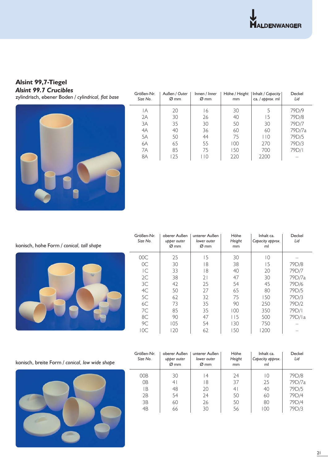**Alsint 99,7-Tiegel** *Alsint 99.7 Crucibles*

zylindrisch, ebener Boden / cylindrical, flat base



| Größen-Nr.<br>Size No. | Außen / Outer<br>$\varnothing$ mm | Innen / Inner<br>$\varnothing$ mm | Höhe / Height<br>mm | Inhalt / Capacity  <br>ca. / approx. ml | Deckel<br>Lid |
|------------------------|-----------------------------------|-----------------------------------|---------------------|-----------------------------------------|---------------|
| IА                     | 20                                | -6                                | 30                  | 5                                       | 79D/9         |
| 2A                     | 30                                | 26                                | 40                  | 15                                      | 79D/8         |
| 3A                     | 35                                | 30                                | 50                  | 30                                      | 79D/7         |
| 4A                     | 40                                | 36                                | 60                  | 60                                      | 79D/7a        |
| 5A                     | 50                                | 44                                | 75                  | 110                                     | 79D/5         |
| 6A                     | 65                                | 55                                | 100                 | 270                                     | 79D/3         |
| 7A                     | 85                                | 75                                | 150                 | 700                                     | 79D/I         |
| 8A                     | 125                               | l 10                              | 220                 | 2200                                    |               |

konisch, hohe Form */ conical, tall shape*



| Größen-Nr.<br>Size No.  | oberer Außen<br>upper outer<br>$\varnothing$ mm | unterer Außen<br>lower outer<br>$\varnothing$ mm | Höhe<br>Height<br>mm | Inhalt ca.<br>Capacity approx.<br>ml | Deckel<br>Lid |
|-------------------------|-------------------------------------------------|--------------------------------------------------|----------------------|--------------------------------------|---------------|
| 00C                     | 25                                              | 5                                                | 30                   | 10                                   |               |
| OC                      | 30                                              | 18                                               | 38                   | 15                                   | 79D/8         |
| $\overline{\mathsf{C}}$ | 33                                              | 18                                               | 40                   | 20                                   | 79D/7         |
| 2C                      | 38                                              | 21                                               | 47                   | 30                                   | 79D/7a        |
| 3C                      | 42                                              | 25                                               | 54                   | 45                                   | 79D/6         |
| 4C                      | 50                                              | 27                                               | 65                   | 80                                   | 79D/5         |
| 5C                      | 62                                              | 32                                               | 75                   | 150                                  | 79D/3         |
| 6C                      | 73                                              | 35                                               | 90                   | 250                                  | 79D/2         |
| 7C                      | 85                                              | 35                                               | 100                  | 350                                  | 79D/I         |
| 8C                      | 90                                              | 47                                               | 115                  | 500                                  | 79D/la        |
| 9C                      | 105                                             | 54                                               | 30                   | 750                                  |               |
| 10C                     | 120                                             | 62                                               | 150                  | 1200                                 |               |

konisch, breite Form */ conical, low wide shape*



| Größen-Nr.<br>Size No. | oberer Außen<br>upper outer<br>$\varnothing$ mm | unterer Außen<br>lower outer<br>Ø mm | Höhe<br>Height<br>mm | Inhalt ca.<br>Capacity approx.<br>ml | Deckel<br>Lid |
|------------------------|-------------------------------------------------|--------------------------------------|----------------------|--------------------------------------|---------------|
| 00B                    | 30                                              | 14                                   | 24                   | $\Omega$                             | 79D/8         |
| 0 <sub>B</sub>         | 4                                               | 18                                   | 37                   | 25                                   | 79D/7a        |
| ΙB                     | 48                                              | 20                                   | 4 <sup>1</sup>       | 40                                   | 79D/5         |
| 2B                     | 54                                              | 24                                   | 50                   | 60                                   | 79D/4         |
| 3B                     | 60                                              | 26                                   | 50                   | 80                                   | 79D/4         |
| 4B                     | 66                                              | 30                                   | 56                   | 100                                  | 79D/3         |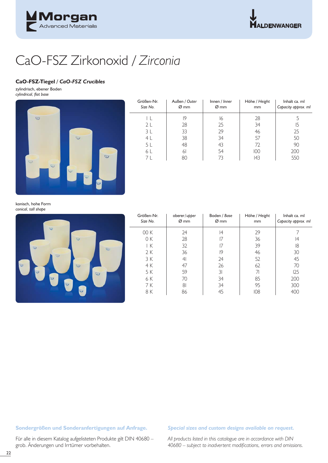

## CaO-FSZ Zirkonoxid / *Zirconia*

#### **CaO-FSZ-Tiegel /** *CaO-FSZ Crucibles*

zylindrisch, ebener Boden *cylindrical, fl at base*



| Größen-Nr.<br>Size No. | Außen / Outer<br>Ø mm | Innen / Inner<br>$\varnothing$ mm | Höhe / Height<br>mm | Inhalt ca. ml<br>Capacity approx. ml |
|------------------------|-----------------------|-----------------------------------|---------------------|--------------------------------------|
|                        | 19                    | 16                                | 28                  |                                      |
| 2 <sub>L</sub>         | 28                    | 25                                | 34                  | 15                                   |
| 3L                     | 33                    | 29                                | 46                  | 25                                   |
| 4 <sub>L</sub>         | 38                    | 34                                | 57                  | 50                                   |
| 5 L                    | 48                    | 43                                | 72                  | 90                                   |
| 6 L                    | 61                    | 54                                | 100                 | 200                                  |
| 7 I                    | 80                    |                                   | 43                  | 550                                  |

konisch, hohe Form *conical, tall shape*



| Größen-Nr.<br>Size No. | oberer/upper<br>Ø mm | Boden / Base<br>Ø mm | Höhe / Height<br>mm | Inhalt ca. ml<br>Capacity approx. ml |
|------------------------|----------------------|----------------------|---------------------|--------------------------------------|
| 00 K                   | 24                   | 14                   | 29                  |                                      |
| 0 K                    | 28                   | 17                   | 36                  | 14                                   |
| ΙK                     | 32                   |                      | 39                  | 18                                   |
| 2 K                    | 36                   | 19                   | 46                  | 30                                   |
| 3 K                    | 4 <sup>1</sup>       | 24                   | 52                  | 45                                   |
| 4 K                    | 47                   | 26                   | 62                  | 70                                   |
| 5 K                    | 59                   | 3 <sup>1</sup>       | 71                  | 125                                  |
| 6 K                    | 70                   | 34                   | 85                  | 200                                  |
| 7 K                    | 81                   | 34                   | 95                  | 300                                  |
| 8 K                    | 86                   | 45                   | 108                 | 400                                  |

#### **Sondergrößen und Sonderanfertigungen auf Anfrage.** *Special sizes and custom designs available on request.*

Für alle in diesem Katalog aufgelisteten Produkte gilt DIN 40680 – grob. Änderungen und Irrtümer vorbehalten.